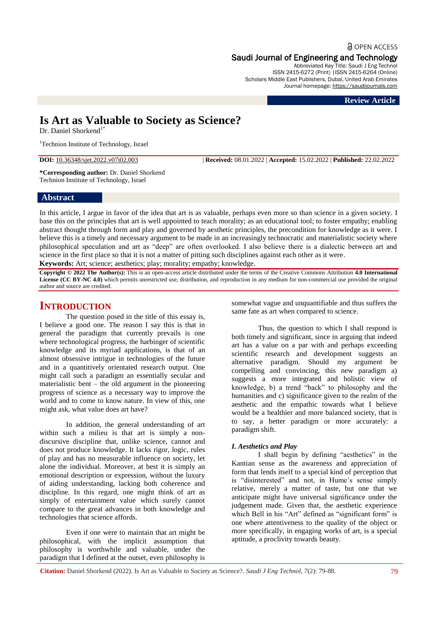# **a** OPEN ACCESS Saudi Journal of Engineering and Technology

Abbreviated Key Title: Saudi J Eng Technol ISSN 2415-6272 (Print) |ISSN 2415-6264 (Online) Scholars Middle East Publishers, Dubai, United Arab Emirates Journal homepage: [https://saudijournals.com](https://saudijournals.com/sjeat)

#### **Review Article**

# **Is Art as Valuable to Society as Science?**

Dr. Daniel Shorkend<sup>1\*</sup>

<sup>1</sup>Technion Institute of Technology, Israel

**DOI:** 10.36348/sjet.2022.v07i02.003 | **Received:** 08.01.2022 | **Accepted:** 15.02.2022 | **Published:** 22.02.2022

**\*Corresponding author:** Dr. Daniel Shorkend Technion Institute of Technology, Israel

## **Abstract**

In this article, I argue in favor of the idea that art is as valuable, perhaps even more so than science in a given society. I base this on the principles that art is well appointed to teach morality; as an educational tool; to foster empathy; enabling abstract thought through form and play and governed by aesthetic principles, the precondition for knowledge as it were. I believe this is a timely and necessary argument to be made in an increasingly technocratic and materialistic society where philosophical speculation and art as "deep" are often overlooked. I also believe there is a dialectic between art and science in the first place so that it is not a matter of pitting such disciplines against each other as it were.

**Keywords:** Art; science; aesthetics; play; morality; empathy; knowledge.

**Copyright © 2022 The Author(s):** This is an open-access article distributed under the terms of the Creative Commons Attribution **4.0 International**  License (CC BY-NC 4.0) which permits unrestricted use, distribution, and reproduction in any medium for non-commercial use provided the original author and source are credited.

# **INTRODUCTION**

The question posed in the title of this essay is, I believe a good one. The reason I say this is that in general the paradigm that currently prevails is one where technological progress, the harbinger of scientific knowledge and its myriad applications, is that of an almost obsessive intrigue in technologies of the future and in a quantitively orientated research output. One might call such a paradigm an essentially secular and materialistic bent – the old argument in the pioneering progress of science as a necessary way to improve the world and to come to know nature. In view of this, one might ask, what value does art have?

In addition, the general understanding of art within such a milieu is that art is simply a nondiscursive discipline that, unlike science, cannot and does not produce knowledge. It lacks rigor, logic, rules of play and has no measurable influence on society, let alone the individual. Moreover, at best it is simply an emotional description or expression, without the luxury of aiding understanding, lacking both coherence and discipline. In this regard, one might think of art as simply of entertainment value which surely cannot compare to the great advances in both knowledge and technologies that science affords.

Even if one were to maintain that art might be philosophical, with the implicit assumption that philosophy is worthwhile and valuable, under the paradigm that I defined at the outset, even philosophy is

somewhat vague and unquantifiable and thus suffers the same fate as art when compared to science.

Thus, the question to which I shall respond is both timely and significant, since in arguing that indeed art has a value on a par with and perhaps exceeding scientific research and development suggests an alternative paradigm. Should my argument be compelling and convincing, this new paradigm a) suggests a more integrated and holistic view of knowledge, b) a trend "back" to philosophy and the humanities and c) significance given to the realm of the aesthetic and the empathic towards what I believe would be a healthier and more balanced society, that is to say, a better paradigm or more accurately: a paradigm shift.

#### *I. Aesthetics and Play*

I shall begin by defining "aesthetics" in the Kantian sense as the awareness and appreciation of form that lends itself to a special kind of perception that is "disinterested" and not, in Hume's sense simply relative, merely a matter of taste, but one that we anticipate might have universal significance under the judgement made. Given that, the aesthetic experience which Bell in his "Art" defined as "significant form" is one where attentiveness to the quality of the object or more specifically, in engaging works of art, is a special aptitude, a proclivity towards beauty.

**Citation:** Daniel Shorkend (2022). Is Art as Valuable to Society as Science?. *Saudi J Eng Technol, 7*(2): 79-88. 79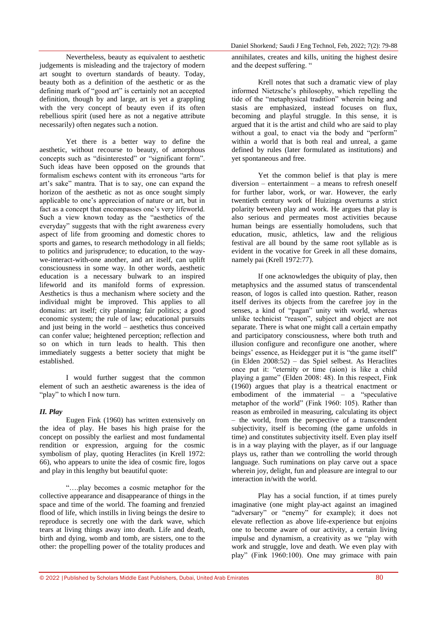Nevertheless, beauty as equivalent to aesthetic judgements is misleading and the trajectory of modern art sought to overturn standards of beauty. Today, beauty both as a definition of the aesthetic or as the defining mark of "good art" is certainly not an accepted definition, though by and large, art is yet a grappling with the very concept of beauty even if its often rebellious spirit (used here as not a negative attribute necessarily) often negates such a notion.

Yet there is a better way to define the aesthetic, without recourse to beauty, of amorphous concepts such as "disinterested" or "significant form". Such ideas have been opposed on the grounds that formalism eschews content with its erroneous "arts for art's sake" mantra. That is to say, one can expand the horizon of the aesthetic as not as once sought simply applicable to one's appreciation of nature or art, but in fact as a concept that encompasses one's very lifeworld. Such a view known today as the "aesthetics of the everyday" suggests that with the right awareness every aspect of life from grooming and domestic chores to sports and games, to research methodology in all fields; to politics and jurisprudence; to education, to the waywe-interact-with-one another, and art itself, can uplift consciousness in some way. In other words, aesthetic education is a necessary bulwark to an inspired lifeworld and its manifold forms of expression. Aesthetics is thus a mechanism where society and the individual might be improved. This applies to all domains: art itself; city planning; fair politics; a good economic system; the rule of law; educational pursuits and just being in the world – aesthetics thus conceived can confer value; heightened perception; reflection and so on which in turn leads to health. This then immediately suggests a better society that might be established.

I would further suggest that the common element of such an aesthetic awareness is the idea of "play" to which I now turn.

#### *II. Play*

Eugen Fink (1960) has written extensively on the idea of play. He bases his high praise for the concept on possibly the earliest and most fundamental rendition or expression, arguing for the cosmic symbolism of play, quoting Heraclites (in Krell 1972: 66), who appears to unite the idea of cosmic fire, logos and play in this lengthy but beautiful quote:

"….play becomes a cosmic metaphor for the collective appearance and disappearance of things in the space and time of the world. The foaming and frenzied flood of life, which instills in living beings the desire to reproduce is secretly one with the dark wave, which tears at living things away into death. Life and death, birth and dying, womb and tomb, are sisters, one to the other: the propelling power of the totality produces and

annihilates, creates and kills, uniting the highest desire and the deepest suffering. "

Krell notes that such a dramatic view of play informed Nietzsche's philosophy, which repelling the tide of the "metaphysical tradition" wherein being and stasis are emphasized, instead focuses on flux, becoming and playful struggle. In this sense, it is argued that it is the artist and child who are said to play without a goal, to enact via the body and "perform" within a world that is both real and unreal, a game defined by rules (later formulated as institutions) and yet spontaneous and free.

Yet the common belief is that play is mere diversion – entertainment – a means to refresh oneself for further labor, work, or war. However, the early twentieth century work of Huizinga overturns a strict polarity between play and work. He argues that play is also serious and permeates most activities because human beings are essentially homoludens, such that education, music, athletics, law and the religious festival are all bound by the same root syllable as is evident in the vocative for Greek in all these domains, namely pai (Krell 1972:77).

If one acknowledges the ubiquity of play, then metaphysics and the assumed status of transcendental reason, of logos is called into question. Rather, reason itself derives its objects from the carefree joy in the senses, a kind of "pagan" unity with world, whereas unlike technicist "reason", subject and object are not separate. There is what one might call a certain empathy and participatory consciousness, where both truth and illusion configure and reconfigure one another, where beings' essence, as Heidegger put it is "the game itself" (in Elden 2008:52) – das Spiel selbest. As Heraclites once put it: "eternity or time (aion) is like a child playing a game" (Elden 2008: 48). In this respect, Fink (1960) argues that play is a theatrical enactment or embodiment of the immaterial – a "speculative metaphor of the world" (Fink 1960: 105). Rather than reason as embroiled in measuring, calculating its object – the world, from the perspective of a transcendent subjectivity, itself is becoming (the game unfolds in time) and constitutes subjectivity itself. Even play itself is in a way playing with the player, as if our language plays us, rather than we controlling the world through language. Such ruminations on play carve out a space wherein joy, delight, fun and pleasure are integral to our interaction in/with the world.

Play has a social function, if at times purely imaginative (one might play-act against an imagined "adversary" or "enemy" for example); it does not elevate reflection as above life-experience but enjoins one to become aware of our activity, a certain living impulse and dynamism, a creativity as we "play with work and struggle, love and death. We even play with play" (Fink 1960:100). One may grimace with pain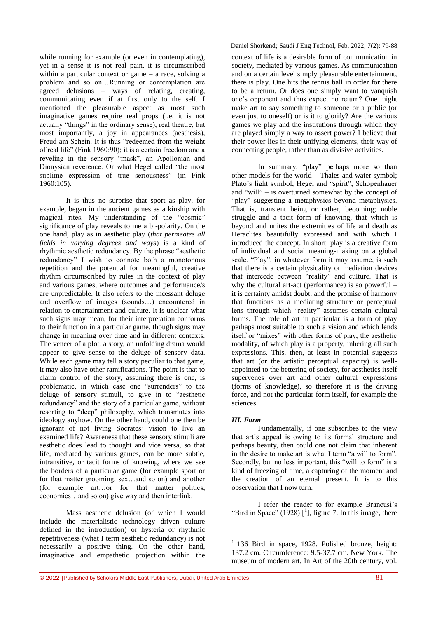while running for example (or even in contemplating), yet in a sense it is not real pain, it is circumscribed within a particular context or game – a race, solving a problem and so on…Running or contemplation are agreed delusions – ways of relating, creating, communicating even if at first only to the self. I mentioned the pleasurable aspect as most such imaginative games require real props (i.e. it is not actually "things" in the ordinary sense), real theatre, but most importantly, a joy in appearances (aesthesis), Freud am Schein. It is thus "redeemed from the weight of real life" (Fink 1960:90); it is a certain freedom and a reveling in the sensory "mask", an Apollonian and Dionysian reverence. Or what Hegel called "the most sublime expression of true seriousness" (in Fink 1960:105).

It is thus no surprise that sport as play, for example, began in the ancient games as a kinship with magical rites. My understanding of the "cosmic" significance of play reveals to me a bi-polarity. On the one hand, play as in aesthetic play (*that permeates all fields in varying degrees and ways*) is a kind of rhythmic aesthetic redundancy. By the phrase "aesthetic redundancy" I wish to connote both a monotonous repetition and the potential for meaningful, creative rhythm circumscribed by rules in the context of play and various games, where outcomes and performance/s are unpredictable. It also refers to the incessant deluge and overflow of images (sounds…) encountered in relation to entertainment and culture. It is unclear what such signs may mean, for their interpretation conforms to their function in a particular game, though signs may change in meaning over time and in different contexts. The veneer of a plot, a story, an unfolding drama would appear to give sense to the deluge of sensory data. While each game may tell a story peculiar to that game. it may also have other ramifications. The point is that to claim control of the story, assuming there is one, is problematic, in which case one "surrenders" to the deluge of sensory stimuli, to give in to "aesthetic redundancy" and the story of a particular game, without resorting to "deep" philosophy, which transmutes into ideology anyhow. On the other hand, could one then be ignorant of not living Socrates' vision to live an examined life? Awareness that these sensory stimuli are aesthetic does lead to thought and vice versa, so that life, mediated by various games, can be more subtle, intransitive, or tacit forms of knowing, where we see the borders of a particular game (for example sport or for that matter grooming, sex…and so on) and another (for example art…or for that matter politics, economics…and so on) give way and then interlink.

Mass aesthetic delusion (of which I would include the materialistic technology driven culture defined in the introduction) or hysteria or rhythmic repetitiveness (what I term aesthetic redundancy) is not necessarily a positive thing. On the other hand, imaginative and empathetic projection within the context of life is a desirable form of communication in society, mediated by various games. As communication and on a certain level simply pleasurable entertainment, there is play. One hits the tennis ball in order for there to be a return. Or does one simply want to vanquish one's opponent and thus expect no return? One might make art to say something to someone or a public (or even just to oneself) or is it to glorify? Are the various games we play and the institutions through which they are played simply a way to assert power? I believe that their power lies in their unifying elements, their way of connecting people, rather than as divisive activities.

In summary, "play" perhaps more so than other models for the world – Thales and water symbol; Plato's light symbol; Hegel and "spirit", Schopenhauer and "will" – is overturned somewhat by the concept of "play" suggesting a metaphysics beyond metaphysics. That is, transient being or rather, becoming; noble struggle and a tacit form of knowing, that which is beyond and unites the extremities of life and death as Heraclites beautifully expressed and with which I introduced the concept. In short: play is a creative form of individual and social meaning-making on a global scale. "Play", in whatever form it may assume, is such that there is a certain physicality or mediation devices that intercede between "reality" and culture. That is why the cultural art-act (performance) is so powerful – it is certainty amidst doubt, and the promise of harmony that functions as a mediating structure or perceptual lens through which "reality" assumes certain cultural forms. The role of art in particular is a form of play perhaps most suitable to such a vision and which lends itself or "mixes" with other forms of play, the aesthetic modality, of which play is a property, inhering all such expressions. This, then, at least in potential suggests that art (or the artistic perceptual capacity) is wellappointed to the bettering of society, for aesthetics itself supervenes over art and other cultural expressions (forms of knowledge), so therefore it is the driving force, and not the particular form itself, for example the sciences.

#### *III. Form*

Fundamentally, if one subscribes to the view that art's appeal is owing to its formal structure and perhaps beauty, then could one not claim that inherent in the desire to make art is what I term "a will to form". Secondly, but no less important, this "will to form" is a kind of freezing of time, a capturing of the moment and the creation of an eternal present. It is to this observation that I now turn.

I refer the reader to for example Brancusi's "Bird in Space" (1928)  $\left[ \begin{array}{c} 1 \end{array} \right]$ , figure 7. In this image, there

<sup>1</sup> <sup>1</sup> 136 Bird in space, 1928. Polished bronze, height: 137.2 cm. Circumference: 9.5-37.7 cm. New York. The museum of modern art. In Art of the 20th century, vol.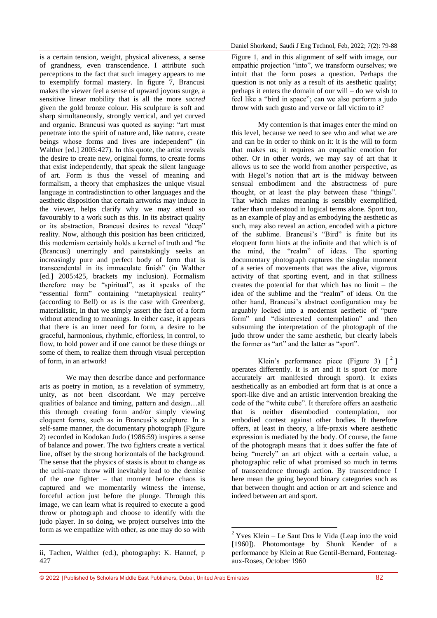is a certain tension, weight, physical aliveness, a sense of grandness, even transcendence. I attribute such perceptions to the fact that such imagery appears to me to exemplify formal mastery. In figure 7, Brancusi makes the viewer feel a sense of upward joyous surge, a sensitive linear mobility that is all the more *sacred*  given the gold bronze colour. His sculpture is soft and sharp simultaneously, strongly vertical, and yet curved and organic. Brancusi was quoted as saying: "art must penetrate into the spirit of nature and, like nature, create beings whose forms and lives are independent" (in Walther [ed.] 2005:427). In this quote, the artist reveals the desire to create new, original forms, to create forms that exist independently, that speak the silent language of art. Form is thus the vessel of meaning and formalism, a theory that emphasizes the unique visual language in contradistinction to other languages and the aesthetic disposition that certain artworks may induce in the viewer, helps clarify why we may attend so favourably to a work such as this. In its abstract quality or its abstraction, Brancusi desires to reveal "deep" reality. Now, although this position has been criticized, this modernism certainly holds a kernel of truth and "he (Brancusi) unerringly and painstakingly seeks an increasingly pure and perfect body of form that is transcendental in its immaculate finish" (in Walther [ed.] 2005:425, brackets my inclusion). Formalism therefore may be "spiritual", as it speaks of the "essential form" containing "metaphysical reality" (according to Bell) or as is the case with Greenberg, materialistic, in that we simply assert the fact of a form without attending to meanings. In either case, it appears that there is an inner need for form, a desire to be graceful, harmonious, rhythmic, effortless, in control, to flow, to hold power and if one cannot be these things or some of them, to realize them through visual perception of form, in an artwork!

We may then describe dance and performance arts as poetry in motion, as a revelation of symmetry, unity, as not been discordant. We may perceive qualities of balance and timing, pattern and design…all this through creating form and/or simply viewing eloquent forms, such as in Brancusi's sculpture. In a self-same manner, the documentary photograph (Figure 2) recorded in Kodokan Judo (1986:59) inspires a sense of balance and power. The two fighters create a vertical line, offset by the strong horizontals of the background. The sense that the physics of stasis is about to change as the uchi-mate throw will inevitably lead to the demise of the one fighter – that moment before chaos is captured and we momentarily witness the intense, forceful action just before the plunge. Through this image, we can learn what is required to execute a good throw or photograph and choose to identify with the judo player. In so doing, we project ourselves into the form as we empathize with other, as one may do so with

1

Figure 1, and in this alignment of self with image, our empathic projection "into", we transform ourselves; we intuit that the form poses a question. Perhaps the question is not only as a result of its aesthetic quality; perhaps it enters the domain of our will – do we wish to feel like a "bird in space"; can we also perform a judo throw with such gusto and verve or fall victim to it?

My contention is that images enter the mind on this level, because we need to see who and what we are and can be in order to think on it: it is the will to form that makes us; it requires an empathic emotion for other. Or in other words, we may say of art that it allows us to see the world from another perspective, as with Hegel's notion that art is the midway between sensual embodiment and the abstractness of pure thought, or at least the play between these "things". That which makes meaning is sensibly exemplified, rather than understood in logical terms alone. Sport too, as an example of play and as embodying the aesthetic as such, may also reveal an action, encoded with a picture of the sublime. Brancusi's "Bird" is finite but its eloquent form hints at the infinite and that which is of the mind, the "realm" of ideas. The sporting documentary photograph captures the singular moment of a series of movements that was the alive, vigorous activity of that sporting event, and in that stillness creates the potential for that which has no limit – the idea of the sublime and the "realm" of ideas. On the other hand, Brancusi's abstract configuration may be arguably locked into a modernist aesthetic of "pure form" and "disinterested contemplation" and then subsuming the interpretation of the photograph of the judo throw under the same aesthetic, but clearly labels the former as "art" and the latter as "sport".

Klein's performance piece (Figure 3)  $\lceil$  <sup>2</sup> ] operates differently. It is art and it is sport (or more accurately art manifested through sport). It exists aesthetically as an embodied art form that is at once a sport-like dive and an artistic intervention breaking the code of the "white cube". It therefore offers an aesthetic that is neither disembodied contemplation, nor embodied contest against other bodies. It therefore offers, at least in theory, a life-praxis where aesthetic expression is mediated by the body. Of course, the fame of the photograph means that it does suffer the fate of being "merely" an art object with a certain value, a photographic relic of what promised so much in terms of transcendence through action. By transcendence I here mean the going beyond binary categories such as that between thought and action or art and science and indeed between art and sport.

1

ii, Tachen, Walther (ed.), photography: K. Hannef, p 427

 $2$  Yves Klein – Le Saut Dns le Vida (Leap into the void [1960]). Photomontage by Shunk Kender of a performance by Klein at Rue Gentil-Bernard, Fontenagaux-Roses, October 1960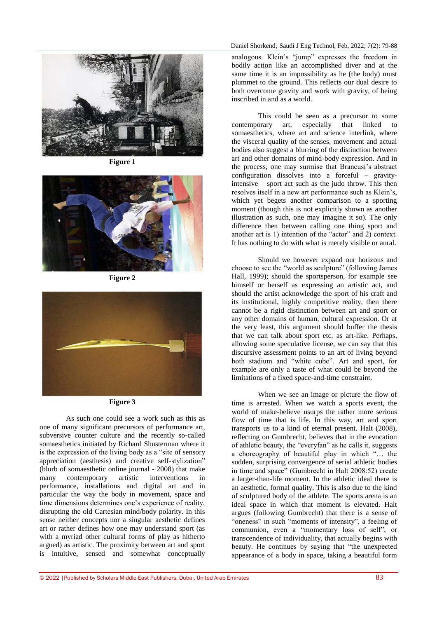

**Figure 1**



**Figure 2**





As such one could see a work such as this as one of many significant precursors of performance art, subversive counter culture and the recently so-called somaesthetics initiated by Richard Shusterman where it is the expression of the living body as a "site of sensory appreciation (aesthesis) and creative self-stylization" (blurb of somaesthetic online journal - 2008) that make many contemporary artistic interventions in performance, installations and digital art and in particular the way the body in movement, space and time dimensions determines one's experience of reality, disrupting the old Cartesian mind/body polarity. In this sense neither concepts nor a singular aesthetic defines art or rather defines how one may understand sport (as with a myriad other cultural forms of play as hitherto argued) as artistic. The proximity between art and sport is intuitive, sensed and somewhat conceptually

analogous. Klein's "jump" expresses the freedom in bodily action like an accomplished diver and at the same time it is an impossibility as he (the body) must plummet to the ground. This reflects our dual desire to both overcome gravity and work with gravity, of being inscribed in and as a world.

This could be seen as a precursor to some contemporary art, especially that linked to somaesthetics, where art and science interlink, where the visceral quality of the senses, movement and actual bodies also suggest a blurring of the distinction between art and other domains of mind-body expression. And in the process, one may surmise that Brancusi's abstract configuration dissolves into a forceful – gravityintensive – sport act such as the judo throw. This then resolves itself in a new art performance such as Klein's, which yet begets another comparison to a sporting moment (though this is not explicitly shown as another illustration as such, one may imagine it so). The only difference then between calling one thing sport and another art is 1) intention of the "actor" and 2) context. It has nothing to do with what is merely visible or aural.

Should we however expand our horizons and choose to see the "world as sculpture" (following James Hall, 1999); should the sportsperson, for example see himself or herself as expressing an artistic act, and should the artist acknowledge the sport of his craft and its institutional, highly competitive reality, then there cannot be a rigid distinction between art and sport or any other domains of human, cultural expression. Or at the very least, this argument should buffer the thesis that we can talk about sport etc. as art-like. Perhaps, allowing some speculative license, we can say that this discursive assessment points to an art of living beyond both stadium and "white cube". Art and sport, for example are only a taste of what could be beyond the limitations of a fixed space-and-time constraint.

When we see an image or picture the flow of time is arrested. When we watch a sports event, the world of make-believe usurps the rather more serious flow of time that is life. In this way, art and sport transports us to a kind of eternal present. Halt (2008), reflecting on Gumbrecht, believes that in the evocation of athletic beauty, the "everyfan" as he calls it, suggests a choreography of beautiful play in which "… the sudden, surprising convergence of serial athletic bodies in time and space" (Gumbrecht in Halt 2008:52) create a larger-than-life moment. In the athletic ideal there is an aesthetic, formal quality. This is also due to the kind of sculptured body of the athlete. The sports arena is an ideal space in which that moment is elevated. Halt argues (following Gumbrecht) that there is a sense of "oneness" in such "moments of intensity", a feeling of communion, even a "momentary loss of self", or transcendence of individuality, that actually begins with beauty. He continues by saying that "the unexpected appearance of a body in space, taking a beautiful form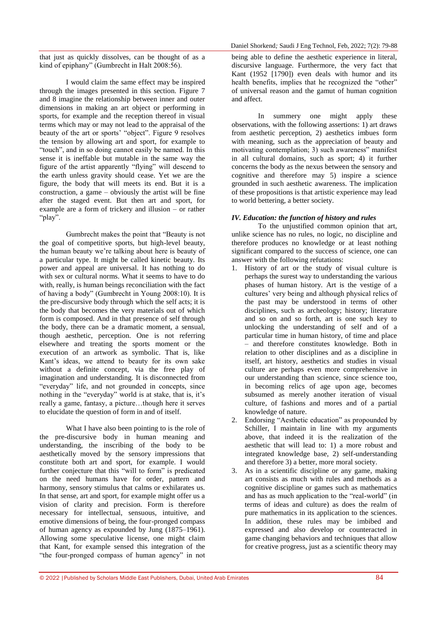that just as quickly dissolves, can be thought of as a kind of epiphany" (Gumbrecht in Halt 2008:56).

I would claim the same effect may be inspired through the images presented in this section. Figure 7 and 8 imagine the relationship between inner and outer dimensions in making an art object or performing in sports, for example and the reception thereof in visual terms which may or may not lead to the appraisal of the beauty of the art or sports' "object". Figure 9 resolves the tension by allowing art and sport, for example to "touch", and in so doing cannot easily be named. In this sense it is ineffable but mutable in the same way the figure of the artist apparently "flying" will descend to the earth unless gravity should cease. Yet we are the figure, the body that will meets its end. But it is a construction, a game – obviously the artist will be fine after the staged event. But then art and sport, for example are a form of trickery and illusion – or rather "play".

Gumbrecht makes the point that "Beauty is not the goal of competitive sports, but high-level beauty, the human beauty we're talking about here is beauty of a particular type. It might be called kinetic beauty. Its power and appeal are universal. It has nothing to do with sex or cultural norms. What it seems to have to do with, really, is human beings reconciliation with the fact of having a body" (Gumbrecht in Young 2008:10). It is the pre-discursive body through which the self acts; it is the body that becomes the very materials out of which form is composed. And in that presence of self through the body, there can be a dramatic moment, a sensual, though aesthetic, perception. One is not referring elsewhere and treating the sports moment or the execution of an artwork as symbolic. That is, like Kant's ideas, we attend to beauty for its own sake without a definite concept, via the free play of imagination and understanding. It is disconnected from "everyday" life, and not grounded in concepts, since nothing in the "everyday" world is at stake, that is, it's really a game, fantasy, a picture…though here it serves to elucidate the question of form in and of itself.

What I have also been pointing to is the role of the pre-discursive body in human meaning and understanding, the inscribing of the body to be aesthetically moved by the sensory impressions that constitute both art and sport, for example. I would further conjecture that this "will to form" is predicated on the need humans have for order, pattern and harmony, sensory stimulus that calms or exhilarates us. In that sense, art and sport, for example might offer us a vision of clarity and precision. Form is therefore necessary for intellectual, sensuous, intuitive, and emotive dimensions of being, the four-pronged compass of human agency as expounded by Jung (1875–1961). Allowing some speculative license, one might claim that Kant, for example sensed this integration of the "the four-pronged compass of human agency" in not

being able to define the aesthetic experience in literal, discursive language. Furthermore, the very fact that Kant (1952 [1790]) even deals with humor and its health benefits, implies that he recognized the "other" of universal reason and the gamut of human cognition and affect.

In summery one might apply these observations, with the following assertions: 1) art draws from aesthetic perception, 2) aesthetics imbues form with meaning, such as the appreciation of beauty and motivating contemplation; 3) such awareness" manifest in all cultural domains, such as sport; 4) it further concerns the body as the nexus between the sensory and cognitive and therefore may 5) inspire a science grounded in such aesthetic awareness. The implication of these propositions is that artistic experience may lead to world bettering, a better society.

# *IV. Education: the function of history and rules*

To the unjustified common opinion that art, unlike science has no rules, no logic, no discipline and therefore produces no knowledge or at least nothing significant compared to the success of science, one can answer with the following refutations:

- 1. History of art or the study of visual culture is perhaps the surest way to understanding the various phases of human history. Art is the vestige of a cultures' very being and although physical relics of the past may be understood in terms of other disciplines, such as archeology; history; literature and so on and so forth, art is one such key to unlocking the understanding of self and of a particular time in human history, of time and place – and therefore constitutes knowledge. Both in relation to other disciplines and as a discipline in itself, art history, aesthetics and studies in visual culture are perhaps even more comprehensive in our understanding than science, since science too, in becoming relics of age upon age, becomes subsumed as merely another iteration of visual culture, of fashions and mores and of a partial knowledge of nature.
- 2. Endorsing "Aesthetic education" as propounded by Schiller, I maintain in line with my arguments above, that indeed it is the realization of the aesthetic that will lead to: 1) a more robust and integrated knowledge base, 2) self-understanding and therefore 3) a better, more moral society.
- 3. As in a scientific discipline or any game, making art consists as much with rules and methods as a cognitive discipline or games such as mathematics and has as much application to the "real-world" (in terms of ideas and culture) as does the realm of pure mathematics in its application to the sciences. In addition, these rules may be imbibed and expressed and also develop or counteracted in game changing behaviors and techniques that allow for creative progress, just as a scientific theory may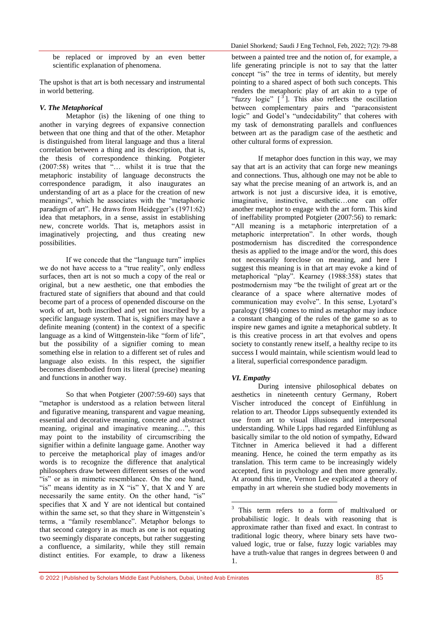be replaced or improved by an even better scientific explanation of phenomena.

The upshot is that art is both necessary and instrumental in world bettering.

## *V. The Metaphorical*

Metaphor (is) the likening of one thing to another in varying degrees of expansive connection between that one thing and that of the other. Metaphor is distinguished from literal language and thus a literal correlation between a thing and its description, that is, the thesis of correspondence thinking. Potgieter (2007:58) writes that "… whilst it is true that the metaphoric instability of language deconstructs the correspondence paradigm, it also inaugurates an understanding of art as a place for the creation of new meanings", which he associates with the "metaphoric paradigm of art". He draws from Heidegger's (1971:62) idea that metaphors, in a sense, assist in establishing new, concrete worlds. That is, metaphors assist in imaginatively projecting, and thus creating new possibilities.

If we concede that the "language turn" implies we do not have access to a "true reality", only endless surfaces, then art is not so much a copy of the real or original, but a new aesthetic, one that embodies the fractured state of signifiers that abound and that could become part of a process of openended discourse on the work of art, both inscribed and yet not inscribed by a specific language system. That is, signifiers may have a definite meaning (content) in the context of a specific language as a kind of Wittgenstein-like "form of life". but the possibility of a signifier coming to mean something else in relation to a different set of rules and language also exists. In this respect, the signifier becomes disembodied from its literal (precise) meaning and functions in another way.

So that when Potgieter (2007:59-60) says that "metaphor is understood as a relation between literal and figurative meaning, transparent and vague meaning, essential and decorative meaning, concrete and abstract meaning, original and imaginative meaning…", this may point to the instability of circumscribing the signifier within a definite language game. Another way to perceive the metaphorical play of images and/or words is to recognize the difference that analytical philosophers draw between different senses of the word "is" or as in mimetic resemblance. On the one hand, "is" means identity as in X "is" Y, that X and Y are necessarily the same entity. On the other hand, "is" specifies that X and Y are not identical but contained within the same set, so that they share in Wittgenstein's terms, a "family resemblance". Metaphor belongs to that second category in as much as one is not equating two seemingly disparate concepts, but rather suggesting a confluence, a similarity, while they still remain distinct entities. For example, to draw a likeness

between a painted tree and the notion of, for example, a life generating principle is not to say that the latter concept "is" the tree in terms of identity, but merely pointing to a shared aspect of both such concepts. This renders the metaphoric play of art akin to a type of "fuzzy logic"  $\left[ \begin{array}{c} 3 \end{array} \right]$ . This also reflects the oscillation between complementary pairs and "paraconsistent logic" and Godel's "undecidability" that coheres with my task of demonstrating parallels and confluences between art as the paradigm case of the aesthetic and other cultural forms of expression.

If metaphor does function in this way, we may say that art is an activity that can forge new meanings and connections. Thus, although one may not be able to say what the precise meaning of an artwork is, and an artwork is not just a discursive idea, it is emotive, imaginative, instinctive, aesthetic…one can offer another metaphor to engage with the art form. This kind of ineffability prompted Potgieter (2007:56) to remark: "All meaning is a metaphoric interpretation of a metaphoric interpretation". In other words, though postmodernism has discredited the correspondence thesis as applied to the image and/or the word, this does not necessarily foreclose on meaning, and here I suggest this meaning is in that art may evoke a kind of metaphorical "play". Kearney (1988:358) states that postmodernism may "be the twilight of great art or the clearance of a space where alternative modes of communication may evolve". In this sense, Lyotard's paralogy (1984) comes to mind as metaphor may induce a constant changing of the rules of the game so as to inspire new games and ignite a metaphorical subtlety. It is this creative process in art that evolves and opens society to constantly renew itself, a healthy recipe to its success I would maintain, while scientism would lead to a literal, superficial correspondence paradigm.

# *VI. Empathy*

1

During intensive philosophical debates on aesthetics in nineteenth century Germany, Robert Vischer introduced the concept of Einfühlung in relation to art. Theodor Lipps subsequently extended its use from art to visual illusions and interpersonal understanding. While Lipps had regarded Einfühlung as basically similar to the old notion of sympathy, Edward Titchner in America believed it had a different meaning. Hence, he coined the term empathy as its translation. This term came to be increasingly widely accepted, first in psychology and then more generally. At around this time, Vernon Lee explicated a theory of empathy in art wherein she studied body movements in

<sup>&</sup>lt;sup>3</sup> This term refers to a form of multivalued or probabilistic logic. It deals with reasoning that is approximate rather than fixed and exact. In contrast to traditional logic theory, where binary sets have twovalued logic, true or false, fuzzy logic variables may have a truth-value that ranges in degrees between 0 and 1.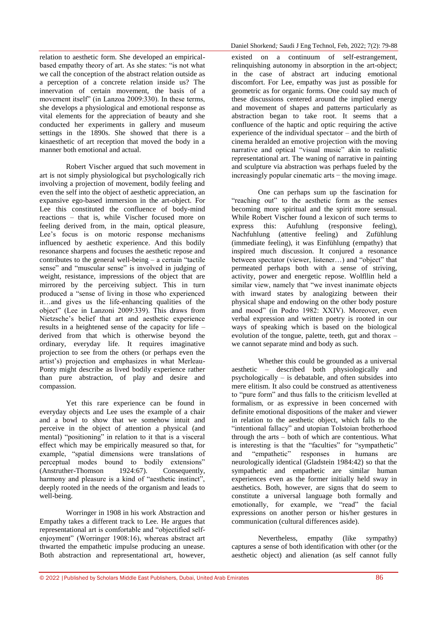relation to aesthetic form. She developed an empiricalbased empathy theory of art. As she states: "is not what we call the conception of the abstract relation outside as a perception of a concrete relation inside us? The innervation of certain movement, the basis of a movement itself" (in Lanzoa 2009:330). In these terms, she develops a physiological and emotional response as vital elements for the appreciation of beauty and she conducted her experiments in gallery and museum settings in the 1890s. She showed that there is a kinaesthetic of art reception that moved the body in a manner both emotional and actual.

Robert Vischer argued that such movement in art is not simply physiological but psychologically rich involving a projection of movement, bodily feeling and even the self into the object of aesthetic appreciation, an expansive ego-based immersion in the art-object. For Lee this constituted the confluence of body-mind reactions – that is, while Vischer focused more on feeling derived from, in the main, optical pleasure, Lee's focus is on motoric response mechanisms influenced by aesthetic experience. And this bodily resonance sharpens and focuses the aesthetic repose and contributes to the general well-being – a certain "tactile sense" and "muscular sense" is involved in judging of weight, resistance, impressions of the object that are mirrored by the perceiving subject. This in turn produced a "sense of living in those who experienced it…and gives us the life-enhancing qualities of the object" (Lee in Lanzoni 2009:339). This draws from Nietzsche's belief that art and aesthetic experience results in a heightened sense of the capacity for life – derived from that which is otherwise beyond the ordinary, everyday life. It requires imaginative projection to see from the others (or perhaps even the artist's) projection and emphasizes in what Merleau-Ponty might describe as lived bodily experience rather than pure abstraction, of play and desire and compassion.

Yet this rare experience can be found in everyday objects and Lee uses the example of a chair and a bowl to show that we somehow intuit and perceive in the object of attention a physical (and mental) "positioning" in relation to it that is a visceral effect which may be empirically measured so that, for example, "spatial dimensions were translations of perceptual modes bound to bodily extensions"<br>(Anstruther-Thomson 1924:67). Consequently, (Anstruther-Thomson 1924:67). Consequently, harmony and pleasure is a kind of "aesthetic instinct", deeply rooted in the needs of the organism and leads to well-being.

Worringer in 1908 in his work Abstraction and Empathy takes a different track to Lee. He argues that representational art is comfortable and "objectified selfenjoyment" (Worringer 1908:16), whereas abstract art thwarted the empathetic impulse producing an unease. Both abstraction and representational art, however,

existed on a continuum of self-estrangement, relinquishing autonomy in absorption in the art-object; in the case of abstract art inducing emotional discomfort. For Lee, empathy was just as possible for geometric as for organic forms. One could say much of these discussions centered around the implied energy and movement of shapes and patterns particularly as abstraction began to take root. It seems that a confluence of the haptic and optic requiring the active experience of the individual spectator – and the birth of cinema heralded an emotive projection with the moving narrative and optical "visual music" akin to realistic representational art. The waning of narrative in painting and sculpture via abstraction was perhaps fueled by the  $increasingly popular$  cinematic arts  $-$  the moving image.

One can perhaps sum up the fascination for "reaching out" to the aesthetic form as the senses becoming more spiritual and the spirit more sensual. While Robert Vischer found a lexicon of such terms to express this: Aufuhlung (responsive feeling), Nachfuhlung (attentive feeling) and Zufühlung (immediate feeling), it was Einfühlung (empathy) that inspired much discussion. It conjured a resonance between spectator (viewer, listener…) and "object" that permeated perhaps both with a sense of striving, activity, power and energetic repose. Wolfllin held a similar view, namely that "we invest inanimate objects with inward states by analogizing between their physical shape and endowing on the other body posture and mood" (in Podro 1982: XXIV). Moreover, even verbal expression and written poetry is rooted in our ways of speaking which is based on the biological evolution of the tongue, palette, teeth, gut and thorax – we cannot separate mind and body as such.

Whether this could be grounded as a universal aesthetic – described both physiologically and psychologically  $-$  is debatable, and often subsides into mere elitism. It also could be construed as attentiveness to "pure form" and thus falls to the criticism levelled at formalism, or as expressive in been concerned with definite emotional dispositions of the maker and viewer in relation to the aesthetic object, which falls to the "intentional fallacy" and utopian Tolstoian brotherhood through the arts – both of which are contentious. What is interesting is that the "faculties" for "sympathetic" and "empathetic" responses in humans are and "empathetic" responses in humans are neurologically identical (Gladstein 1984:42) so that the sympathetic and empathetic are similar human experiences even as the former initially held sway in aesthetics. Both, however, are signs that do seem to constitute a universal language both formally and emotionally, for example, we "read" the facial expressions on another person or his/her gestures in communication (cultural differences aside).

Nevertheless, empathy (like sympathy) captures a sense of both identification with other (or the aesthetic object) and alienation (as self cannot fully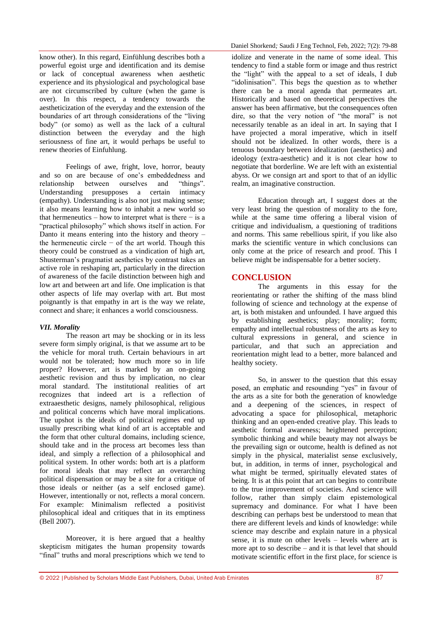know other). In this regard, Einfühlung describes both a powerful egoist urge and identification and its demise or lack of conceptual awareness when aesthetic experience and its physiological and psychological base are not circumscribed by culture (when the game is over). In this respect, a tendency towards the aestheticization of the everyday and the extension of the boundaries of art through considerations of the "living body" (or somo) as well as the lack of a cultural distinction between the everyday and the high seriousness of fine art, it would perhaps be useful to renew theories of Einfuhlung.

Feelings of awe, fright, love, horror, beauty and so on are because of one's embeddedness and relationship between ourselves and "things". Understanding presupposes a certain intimacy (empathy). Understanding is also not just making sense; it also means learning how to inhabit a new world so that hermeneutics – how to interpret what is there – is a "practical philosophy" which shows itself in action. For Danto it means entering into the history and theory – the hermeneutic circle − of the art world. Though this theory could be construed as a vindication of high art, Shusterman's pragmatist aesthetics by contrast takes an active role in reshaping art, particularly in the direction of awareness of the facile distinction between high and low art and between art and life. One implication is that other aspects of life may overlap with art. But most poignantly is that empathy in art is the way we relate, connect and share; it enhances a world consciousness.

# *VII. Morality*

The reason art may be shocking or in its less severe form simply original, is that we assume art to be the vehicle for moral truth. Certain behaviours in art would not be tolerated; how much more so in life proper? However, art is marked by an on-going aesthetic revision and thus by implication, no clear moral standard. The institutional realities of art recognizes that indeed art is a reflection of extraaesthetic designs, namely philosophical, religious and political concerns which have moral implications. The upshot is the ideals of political regimes end up usually prescribing what kind of art is acceptable and the form that other cultural domains, including science, should take and in the process art becomes less than ideal, and simply a reflection of a philosophical and political system. In other words: both art is a platform for moral ideals that may reflect an overarching political dispensation or may be a site for a critique of those ideals or neither (as a self enclosed game). However, intentionally or not, reflects a moral concern. For example: Minimalism reflected a positivist philosophical ideal and critiques that in its emptiness (Bell 2007).

Moreover, it is here argued that a healthy skepticism mitigates the human propensity towards "final" truths and moral prescriptions which we tend to idolize and venerate in the name of some ideal. This tendency to find a stable form or image and thus restrict the "light" with the appeal to a set of ideals, I dub "idolinisation". This begs the question as to whether there can be a moral agenda that permeates art. Historically and based on theoretical perspectives the answer has been affirmative, but the consequences often dire, so that the very notion of "the moral" is not necessarily tenable as an ideal in art. In saying that I have projected a moral imperative, which in itself should not be idealized. In other words, there is a tenuous boundary between idealization (aesthetics) and ideology (extra-aesthetic) and it is not clear how to negotiate that borderline. We are left with an existential abyss. Or we consign art and sport to that of an idyllic realm, an imaginative construction.

Education through art, I suggest does at the very least bring the question of morality to the fore, while at the same time offering a liberal vision of critique and individualism, a questioning of traditions and norms. This same rebellious spirit, if you like also marks the scientific venture in which conclusions can only come at the price of research and proof. This I believe might be indispensable for a better society.

# **CONCLUSION**

The arguments in this essay for the reorientating or rather the shifting of the mass blind following of science and technology at the expense of art, is both mistaken and unfounded. I have argued this by establishing aesthetics; play; morality; form; empathy and intellectual robustness of the arts as key to cultural expressions in general, and science in particular, and that such an appreciation and reorientation might lead to a better, more balanced and healthy society.

So, in answer to the question that this essay posed, an emphatic and resounding "yes" in favour of the arts as a site for both the generation of knowledge and a deepening of the sciences, in respect of advocating a space for philosophical, metaphoric thinking and an open-ended creative play. This leads to aesthetic formal awareness; heightened perception; symbolic thinking and while beauty may not always be the prevailing sign or outcome, health is defined as not simply in the physical, materialist sense exclusively, but, in addition, in terms of inner, psychological and what might be termed, spiritually elevated states of being. It is at this point that art can begins to contribute to the true improvement of societies. And science will follow, rather than simply claim epistemological supremacy and dominance. For what I have been describing can perhaps best be understood to mean that there are different levels and kinds of knowledge: while science may describe and explain nature in a physical sense, it is mute on other levels – levels where art is more apt to so describe – and it is that level that should motivate scientific effort in the first place, for science is